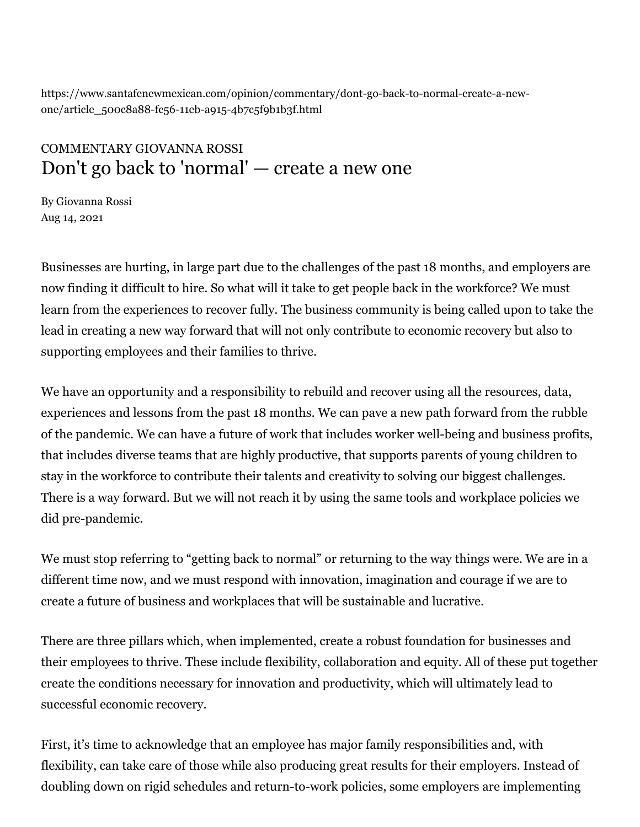https://www.santafenewmexican.com/opinion/commentary/dont-go-back-to-normal-create-a-newone/article\_500c8a88-fc56-11eb-a915-4b7c5f9b1b3f.html

## COMMENTARY GIOVANNA ROSSI Don't go back to 'normal' — create a new one

By Giovanna Rossi Aug 14, 2021

Businesses are hurting, in large part due to the challenges of the past 18 months, and employers are now finding it difficult to hire. So what will it take to get people back in the workforce? We must learn from the experiences to recover fully. The business community is being called upon to take the lead in creating a new way forward that will not only contribute to economic recovery but also to supporting employees and their families to thrive.

We have an opportunity and a responsibility to rebuild and recover using all the resources, data, experiences and lessons from the past 18 months. We can pave a new path forward from the rubble of the pandemic. We can have a future of work that includes worker well-being and business profits, that includes diverse teams that are highly productive, that supports parents of young children to stay in the workforce to contribute their talents and creativity to solving our biggest challenges. There is a way forward. But we will not reach it by using the same tools and workplace policies we did pre-pandemic.

We must stop referring to "getting back to normal" or returning to the way things were. We are in a different time now, and we must respond with innovation, imagination and courage if we are to create a future of business and workplaces that will be sustainable and lucrative.

There are three pillars which, when implemented, create a robust foundation for businesses and their employees to thrive. These include flexibility, collaboration and equity. All of these put together create the conditions necessary for innovation and productivity, which will ultimately lead to successful economic recovery.

First, it's time to acknowledge that an employee has major family responsibilities and, with flexibility, can take care of those while also producing great results for their employers. Instead of doubling down on rigid schedules and return-to-work policies, some employers are implementing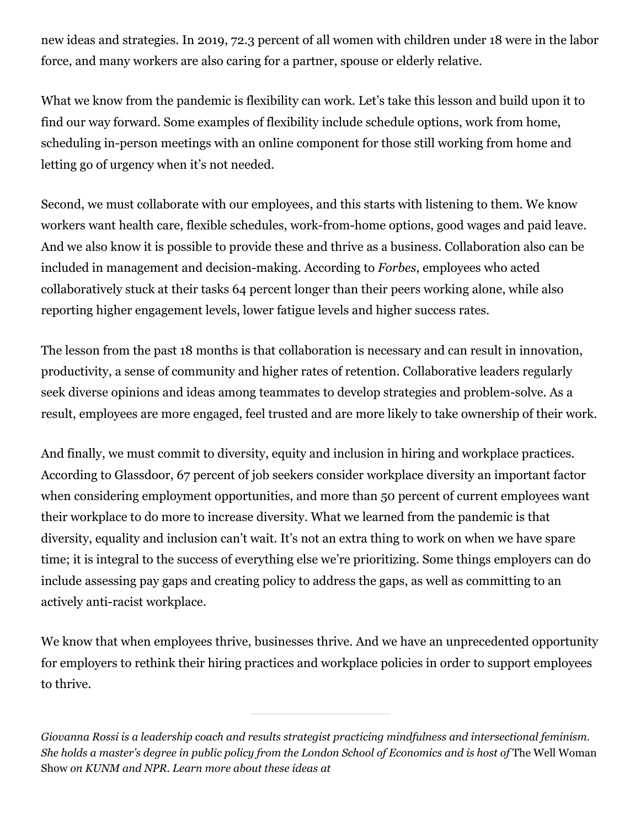new ideas and strategies. In 2019, 72.3 percent of all women with children under 18 were in the labor force, and many workers are also caring for a partner, spouse or elderly relative.

What we know from the pandemic is flexibility can work. Let's take this lesson and build upon it to find our way forward. Some examples of flexibility include schedule options, work from home, scheduling in-person meetings with an online component for those still working from home and letting go of urgency when it's not needed.

Second, we must collaborate with our employees, and this starts with listening to them. We know workers want health care, flexible schedules, work-from-home options, good wages and paid leave. And we also know it is possible to provide these and thrive as a business. Collaboration also can be included in management and decision-making. According to *Forbes*, employees who acted collaboratively stuck at their tasks 64 percent longer than their peers working alone, while also reporting higher engagement levels, lower fatigue levels and higher success rates.

The lesson from the past 18 months is that collaboration is necessary and can result in innovation, productivity, a sense of community and higher rates of retention. Collaborative leaders regularly seek diverse opinions and ideas among teammates to develop strategies and problem-solve. As a result, employees are more engaged, feel trusted and are more likely to take ownership of their work.

And finally, we must commit to diversity, equity and inclusion in hiring and workplace practices. According to Glassdoor, 67 percent of job seekers consider workplace diversity an important factor when considering employment opportunities, and more than 50 percent of current employees want their workplace to do more to increase diversity. What we learned from the pandemic is that diversity, equality and inclusion can't wait. It's not an extra thing to work on when we have spare time; it is integral to the success of everything else we're prioritizing. Some things employers can do include assessing pay gaps and creating policy to address the gaps, as well as committing to an actively anti-racist workplace.

We know that when employees thrive, businesses thrive. And we have an unprecedented opportunity for employers to rethink their hiring practices and workplace policies in order to support employees to thrive.

*Giovanna Rossi is a leadership coach and results strategist practicing mindfulness and intersectional feminism. She holds a master's degree in public policy from the London School of Economics and is host of* The Well Woman Show *on KUNM and NPR. Learn more about these ideas at*